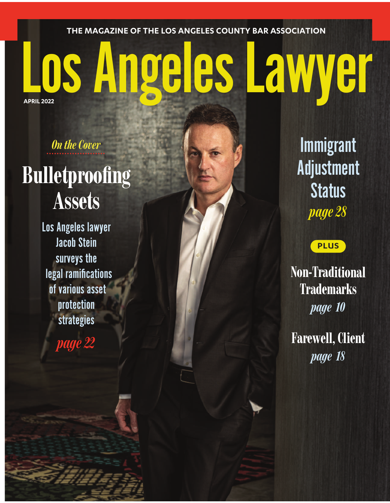**THE MAGAZINE OF THE LOS ANGELES COUNTY BAR ASSOCIATION**

## LosAngelesLawyer **APRIL 2022**

*<u>On the Cover</u>* 

## **Bulletproofing Assets**

Los Angeles lawyer Jacob Stein surveys the legal ramifications of various asset protection strategies

*page22*

Immigrant Adjustment **Status** *page 28*

## **PLUS**

**Non-Traditional Trademarks** *page 10*

Farewell, Client *page 18*